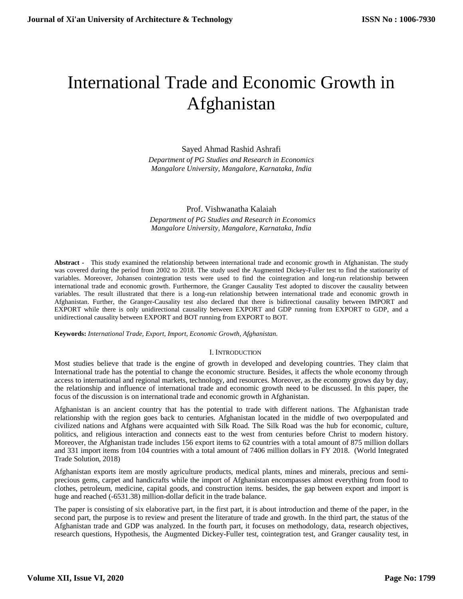# International Trade and Economic Growth in Afghanistan

Sayed Ahmad Rashid Ashrafi *Department of PG Studies and Research in Economics Mangalore University, Mangalore, Karnataka, India*

## Prof. Vishwanatha Kalaiah

 *Department of PG Studies and Research in Economics Mangalore University, Mangalore, Karnataka, India*

**Abstract -** This study examined the relationship between international trade and economic growth in Afghanistan. The study was covered during the period from 2002 to 2018. The study used the Augmented Dickey-Fuller test to find the stationarity of variables. Moreover, Johansen cointegration tests were used to find the cointegration and long-run relationship between international trade and economic growth. Furthermore, the Granger Causality Test adopted to discover the causality between variables. The result illustrated that there is a long-run relationship between international trade and economic growth in Afghanistan. Further, the Granger-Causality test also declared that there is bidirectional causality between IMPORT and EXPORT while there is only unidirectional causality between EXPORT and GDP running from EXPORT to GDP, and a unidirectional causality between EXPORT and BOT running from EXPORT to BOT.

**Keywords:** *International Trade, Export, Import, Economic Growth, Afghanistan.*

# I. INTRODUCTION

Most studies believe that trade is the engine of growth in developed and developing countries. They claim that International trade has the potential to change the economic structure. Besides, it affects the whole economy through access to international and regional markets, technology, and resources. Moreover, as the economy grows day by day, the relationship and influence of international trade and economic growth need to be discussed. In this paper, the focus of the discussion is on international trade and economic growth in Afghanistan.

Afghanistan is an ancient country that has the potential to trade with different nations. The Afghanistan trade relationship with the region goes back to centuries. Afghanistan located in the middle of two overpopulated and civilized nations and Afghans were acquainted with Silk Road. The Silk Road was the hub for economic, culture, politics, and religious interaction and connects east to the west from centuries before Christ to modern history. Moreover, the Afghanistan trade includes 156 export items to 62 countries with a total amount of 875 million dollars and 331 import items from 104 countries with a total amount of 7406 million dollars in FY 2018. (World Integrated Trade Solution, 2018)

Afghanistan exports item are mostly agriculture products, medical plants, mines and minerals, precious and semiprecious gems, carpet and handicrafts while the import of Afghanistan encompasses almost everything from food to clothes, petroleum, medicine, capital goods, and construction items. besides, the gap between export and import is huge and reached (-6531.38) million-dollar deficit in the trade balance.

The paper is consisting of six elaborative part, in the first part, it is about introduction and theme of the paper, in the second part, the purpose is to review and present the literature of trade and growth. In the third part, the status of the Afghanistan trade and GDP was analyzed. In the fourth part, it focuses on methodology, data, research objectives, research questions, Hypothesis, the Augmented Dickey-Fuller test, cointegration test, and Granger causality test, in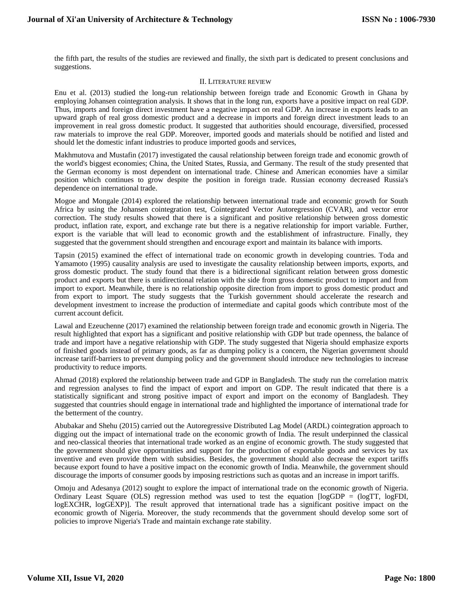the fifth part, the results of the studies are reviewed and finally, the sixth part is dedicated to present conclusions and suggestions.

#### II. LITERATURE REVIEW

Enu et al. (2013) studied the long-run relationship between foreign trade and Economic Growth in Ghana by employing Johansen cointegration analysis. It shows that in the long run, exports have a positive impact on real GDP. Thus, imports and foreign direct investment have a negative impact on real GDP. An increase in exports leads to an upward graph of real gross domestic product and a decrease in imports and foreign direct investment leads to an improvement in real gross domestic product. It suggested that authorities should encourage, diversified, processed raw materials to improve the real GDP. Moreover, imported goods and materials should be notified and listed and should let the domestic infant industries to produce imported goods and services,

Makhmutova and Mustafin (2017) investigated the causal relationship between foreign trade and economic growth of the world's biggest economies; China, the United States, Russia, and Germany. The result of the study presented that the German economy is most dependent on international trade. Chinese and American economies have a similar position which continues to grow despite the position in foreign trade. Russian economy decreased Russia's dependence on international trade.

Mogoe and Mongale (2014) explored the relationship between international trade and economic growth for South Africa by using the Johansen cointegration test, Cointegrated Vector Autoregression (CVAR), and vector error correction. The study results showed that there is a significant and positive relationship between gross domestic product, inflation rate, export, and exchange rate but there is a negative relationship for import variable. Further, export is the variable that will lead to economic growth and the establishment of infrastructure. Finally, they suggested that the government should strengthen and encourage export and maintain its balance with imports.

Tapsin (2015) examined the effect of international trade on economic growth in developing countries. Toda and Yamamoto (1995) causality analysis are used to investigate the causality relationship between imports, exports, and gross domestic product. The study found that there is a bidirectional significant relation between gross domestic product and exports but there is unidirectional relation with the side from gross domestic product to import and from import to export. Meanwhile, there is no relationship opposite direction from import to gross domestic product and from export to import. The study suggests that the Turkish government should accelerate the research and development investment to increase the production of intermediate and capital goods which contribute most of the current account deficit.

Lawal and Ezeuchenne (2017) examined the relationship between foreign trade and economic growth in Nigeria. The result highlighted that export has a significant and positive relationship with GDP but trade openness, the balance of trade and import have a negative relationship with GDP. The study suggested that Nigeria should emphasize exports of finished goods instead of primary goods, as far as dumping policy is a concern, the Nigerian government should increase tariff-barriers to prevent dumping policy and the government should introduce new technologies to increase productivity to reduce imports.

Ahmad (2018) explored the relationship between trade and GDP in Bangladesh. The study run the correlation matrix and regression analyses to find the impact of export and import on GDP. The result indicated that there is a statistically significant and strong positive impact of export and import on the economy of Bangladesh. They suggested that countries should engage in international trade and highlighted the importance of international trade for the betterment of the country.

Abubakar and Shehu (2015) carried out the Autoregressive Distributed Lag Model (ARDL) cointegration approach to digging out the impact of international trade on the economic growth of India. The result underpinned the classical and neo-classical theories that international trade worked as an engine of economic growth. The study suggested that the government should give opportunities and support for the production of exportable goods and services by tax inventive and even provide them with subsidies. Besides, the government should also decrease the export tariffs because export found to have a positive impact on the economic growth of India. Meanwhile, the government should discourage the imports of consumer goods by imposing restrictions such as quotas and an increase in import tariffs.

Omoju and Adesanya (2012) sought to explore the impact of international trade on the economic growth of Nigeria. Ordinary Least Square (OLS) regression method was used to test the equation [logGDP = (logTT, logFDI, logEXCHR, logGEXP)]. The result approved that international trade has a significant positive impact on the economic growth of Nigeria. Moreover, the study recommends that the government should develop some sort of policies to improve Nigeria's Trade and maintain exchange rate stability.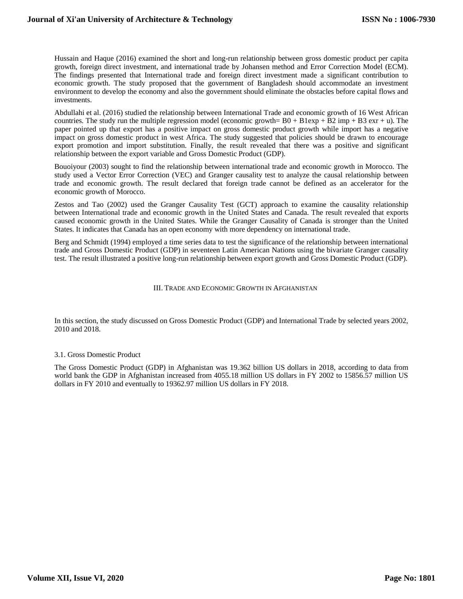Hussain and Haque (2016) examined the short and long-run relationship between gross domestic product per capita growth, foreign direct investment, and international trade by Johansen method and Error Correction Model (ECM). The findings presented that International trade and foreign direct investment made a significant contribution to economic growth. The study proposed that the government of Bangladesh should accommodate an investment environment to develop the economy and also the government should eliminate the obstacles before capital flows and investments.

Abdullahi et al. (2016) studied the relationship between International Trade and economic growth of 16 West African countries. The study run the multiple regression model (economic growth=  $B0 + B1$ exp +  $\overline{B2}$  imp +  $\overline{B3}$  exr + u). The paper pointed up that export has a positive impact on gross domestic product growth while import has a negative impact on gross domestic product in west Africa. The study suggested that policies should be drawn to encourage export promotion and import substitution. Finally, the result revealed that there was a positive and significant relationship between the export variable and Gross Domestic Product (GDP).

Bouoiyour (2003) sought to find the relationship between international trade and economic growth in Morocco. The study used a Vector Error Correction (VEC) and Granger causality test to analyze the causal relationship between trade and economic growth. The result declared that foreign trade cannot be defined as an accelerator for the economic growth of Morocco.

Zestos and Tao (2002) used the Granger Causality Test (GCT) approach to examine the causality relationship between International trade and economic growth in the United States and Canada. The result revealed that exports caused economic growth in the United States. While the Granger Causality of Canada is stronger than the United States. It indicates that Canada has an open economy with more dependency on international trade.

Berg and Schmidt (1994) employed a time series data to test the significance of the relationship between international trade and Gross Domestic Product (GDP) in seventeen Latin American Nations using the bivariate Granger causality test. The result illustrated a positive long-run relationship between export growth and Gross Domestic Product (GDP).

#### III. TRADE AND ECONOMIC GROWTH IN AFGHANISTAN

In this section, the study discussed on Gross Domestic Product (GDP) and International Trade by selected years 2002, 2010 and 2018.

#### 3.1. Gross Domestic Product

The Gross Domestic Product (GDP) in Afghanistan was 19.362 billion US dollars in 2018, according to data from world bank the GDP in Afghanistan increased from 4055.18 million US dollars in FY 2002 to 15856.57 million US dollars in FY 2010 and eventually to 19362.97 million US dollars in FY 2018.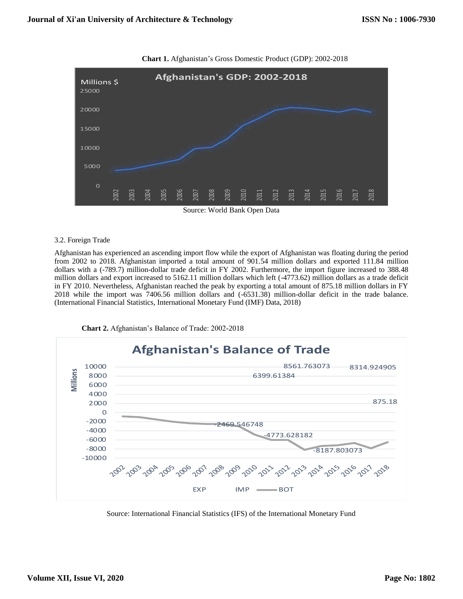

**Chart 1.** Afghanistan's Gross Domestic Product (GDP): 2002-2018

### 3.2. Foreign Trade

Afghanistan has experienced an ascending import flow while the export of Afghanistan was floating during the period from 2002 to 2018. Afghanistan imported a total amount of 901.54 million dollars and exported 111.84 million dollars with a (-789.7) million-dollar trade deficit in FY 2002. Furthermore, the import figure increased to 388.48 million dollars and export increased to 5162.11 million dollars which left (-4773.62) million dollars as a trade deficit in FY 2010. Nevertheless, Afghanistan reached the peak by exporting a total amount of 875.18 million dollars in FY 2018 while the import was 7406.56 million dollars and (-6531.38) million-dollar deficit in the trade balance. (International Financial Statistics, International Monetary Fund (IMF) Data, 2018)



**Chart 2.** Afghanistan's Balance of Trade: 2002-2018

Source: International Financial Statistics (IFS) of the International Monetary Fund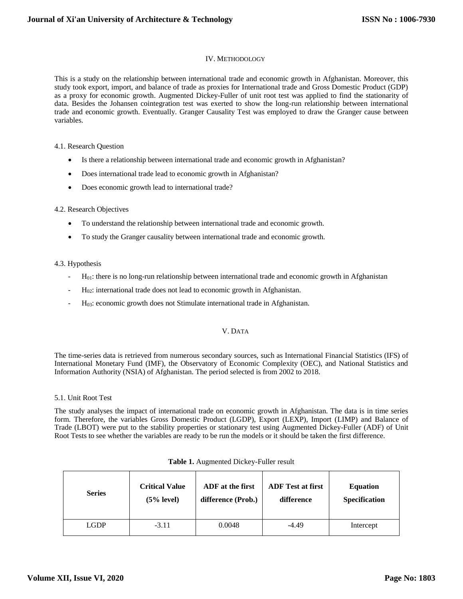#### IV. METHODOLOGY

This is a study on the relationship between international trade and economic growth in Afghanistan. Moreover, this study took export, import, and balance of trade as proxies for International trade and Gross Domestic Product (GDP) as a proxy for economic growth. Augmented Dickey-Fuller of unit root test was applied to find the stationarity of data. Besides the Johansen cointegration test was exerted to show the long-run relationship between international trade and economic growth. Eventually. Granger Causality Test was employed to draw the Granger cause between variables.

#### 4.1. Research Question

- Is there a relationship between international trade and economic growth in Afghanistan?
- Does international trade lead to economic growth in Afghanistan?
- Does economic growth lead to international trade?

#### 4.2. Research Objectives

- To understand the relationship between international trade and economic growth.
- To study the Granger causality between international trade and economic growth.

#### 4.3. Hypothesis

- $H<sub>01</sub>$ : there is no long-run relationship between international trade and economic growth in Afghanistan
- H<sub>02</sub>: international trade does not lead to economic growth in Afghanistan.
- H<sub>03</sub>: economic growth does not Stimulate international trade in Afghanistan.

#### V. DATA

The time-series data is retrieved from numerous secondary sources, such as International Financial Statistics (IFS) of International Monetary Fund (IMF), the Observatory of Economic Complexity (OEC), and National Statistics and Information Authority (NSIA) of Afghanistan. The period selected is from 2002 to 2018.

#### 5.1. Unit Root Test

The study analyses the impact of international trade on economic growth in Afghanistan. The data is in time series form. Therefore, the variables Gross Domestic Product (LGDP), Export (LEXP), Import (LIMP) and Balance of Trade (LBOT) were put to the stability properties or stationary test using Augmented Dickey-Fuller (ADF) of Unit Root Tests to see whether the variables are ready to be run the models or it should be taken the first difference.

| <b>Series</b> | <b>Critical Value</b> | ADF at the first   | <b>ADF</b> Test at first | <b>Equation</b>      |
|---------------|-----------------------|--------------------|--------------------------|----------------------|
|               | $(5%$ level)          | difference (Prob.) | difference               | <b>Specification</b> |
| LGDP          | $-3.11$               | 0.0048             | $-4.49$                  | Intercept            |

#### **Table 1.** Augmented Dickey-Fuller result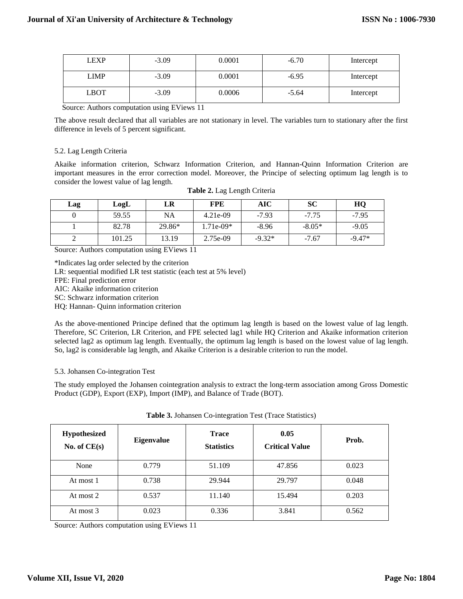| <b>LEXP</b> | $-3.09$ | 0.0001 | $-6.70$ | Intercept |
|-------------|---------|--------|---------|-----------|
| <b>LIMP</b> | $-3.09$ | 0.0001 | $-6.95$ | Intercept |
| <b>LBOT</b> | $-3.09$ | 0.0006 | $-5.64$ | Intercept |

Source: Authors computation using EViews 11

The above result declared that all variables are not stationary in level. The variables turn to stationary after the first difference in levels of 5 percent significant.

#### 5.2. Lag Length Criteria

Akaike information criterion, Schwarz Information Criterion, and Hannan-Quinn Information Criterion are important measures in the error correction model. Moreover, the Principe of selecting optimum lag length is to consider the lowest value of lag length.

| Lag | LogL   | LR     | <b>FPE</b>  | AIC      | SC       | HQ       |
|-----|--------|--------|-------------|----------|----------|----------|
|     | 59.55  | NA     | $4.21e-09$  | $-7.93$  | $-7.75$  | $-7.95$  |
|     | 82.78  | 29.86* | $1.71e-09*$ | $-8.96$  | $-8.05*$ | $-9.05$  |
|     | 101.25 | 13.19  | 2.75e-09    | $-9.32*$ | $-7.67$  | $-9.47*$ |

| Table 2. Lag Length Criteria |  |  |  |
|------------------------------|--|--|--|
|------------------------------|--|--|--|

Source: Authors computation using EViews 11

\*Indicates lag order selected by the criterion LR: sequential modified LR test statistic (each test at 5% level) FPE: Final prediction error AIC: Akaike information criterion

SC: Schwarz information criterion

HQ: Hannan- Quinn information criterion

As the above-mentioned Principe defined that the optimum lag length is based on the lowest value of lag length. Therefore, SC Criterion, LR Criterion, and FPE selected lag1 while HQ Criterion and Akaike information criterion selected lag2 as optimum lag length. Eventually, the optimum lag length is based on the lowest value of lag length. So, lag2 is considerable lag length, and Akaike Criterion is a desirable criterion to run the model.

5.3. Johansen Co-integration Test

The study employed the Johansen cointegration analysis to extract the long-term association among Gross Domestic Product (GDP), Export (EXP), Import (IMP), and Balance of Trade (BOT).

| <b>Table 3.</b> Johansen Co-integration Test (Trace Statistics) |  |
|-----------------------------------------------------------------|--|
|-----------------------------------------------------------------|--|

| <b>Hypothesized</b><br>No. of $CE(s)$ | <b>Eigenvalue</b> | <b>Trace</b><br><b>Statistics</b> | 0.05<br><b>Critical Value</b> | Prob. |
|---------------------------------------|-------------------|-----------------------------------|-------------------------------|-------|
| None                                  | 0.779             | 51.109                            | 47.856                        | 0.023 |
| At most 1                             | 0.738             | 29.944                            | 29.797                        | 0.048 |
| At most 2                             | 0.537             | 11.140                            | 15.494                        | 0.203 |
| At most 3                             | 0.023             | 0.336                             | 3.841                         | 0.562 |

Source: Authors computation using EViews 11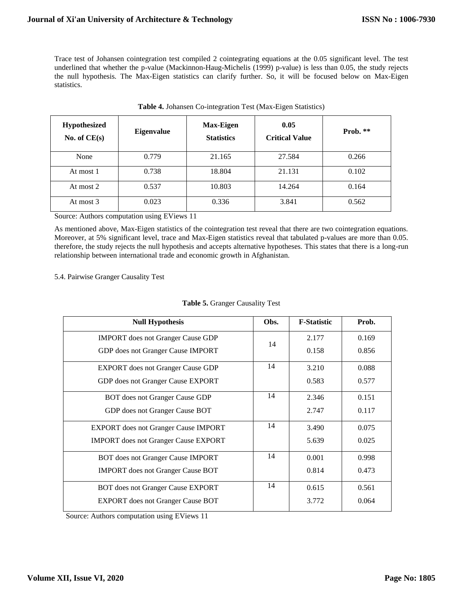Trace test of Johansen cointegration test compiled 2 cointegrating equations at the 0.05 significant level. The test underlined that whether the p-value (Mackinnon-Haug-Michelis (1999) p-value) is less than 0.05, the study rejects the null hypothesis. The Max-Eigen statistics can clarify further. So, it will be focused below on Max-Eigen statistics.

| <b>Hypothesized</b><br>No. of $CE(s)$ | <b>Eigenvalue</b> | <b>Max-Eigen</b><br><b>Statistics</b> | 0.05<br><b>Critical Value</b> | Prob. $**$ |
|---------------------------------------|-------------------|---------------------------------------|-------------------------------|------------|
| None                                  | 0.779             | 21.165                                | 27.584                        | 0.266      |
| At most 1                             | 0.738             | 18.804                                | 21.131                        | 0.102      |
| At most 2                             | 0.537             | 10.803                                | 14.264                        | 0.164      |
| At most 3                             | 0.023             | 0.336                                 | 3.841                         | 0.562      |

| Table 4. Johansen Co-integration Test (Max-Eigen Statistics) |
|--------------------------------------------------------------|
|--------------------------------------------------------------|

Source: Authors computation using EViews 11

As mentioned above, Max-Eigen statistics of the cointegration test reveal that there are two cointegration equations. Moreover, at 5% significant level, trace and Max-Eigen statistics reveal that tabulated p-values are more than 0.05. therefore, the study rejects the null hypothesis and accepts alternative hypotheses. This states that there is a long-run relationship between international trade and economic growth in Afghanistan.

### 5.4. Pairwise Granger Causality Test

| <b>Null Hypothesis</b>                      | Obs. | <b>F-Statistic</b> | Prob. |
|---------------------------------------------|------|--------------------|-------|
| <b>IMPORT</b> does not Granger Cause GDP    | 14   | 2.177              | 0.169 |
| GDP does not Granger Cause IMPORT           |      | 0.158              | 0.856 |
| <b>EXPORT</b> does not Granger Cause GDP    | 14   | 3.210              | 0.088 |
| GDP does not Granger Cause EXPORT           |      | 0.583              | 0.577 |
| BOT does not Granger Cause GDP              | 14   | 2.346              | 0.151 |
| GDP does not Granger Cause BOT              |      | 2.747              | 0.117 |
| <b>EXPORT</b> does not Granger Cause IMPORT | 14   | 3.490              | 0.075 |
| <b>IMPORT</b> does not Granger Cause EXPORT |      | 5.639              | 0.025 |
| BOT does not Granger Cause IMPORT           | 14   | 0.001              | 0.998 |
| <b>IMPORT</b> does not Granger Cause BOT    |      | 0.814              | 0.473 |
| BOT does not Granger Cause EXPORT           | 14   | 0.615              | 0.561 |
| <b>EXPORT</b> does not Granger Cause BOT    |      | 3.772              | 0.064 |

### **Table 5.** Granger Causality Test

Source: Authors computation using EViews 11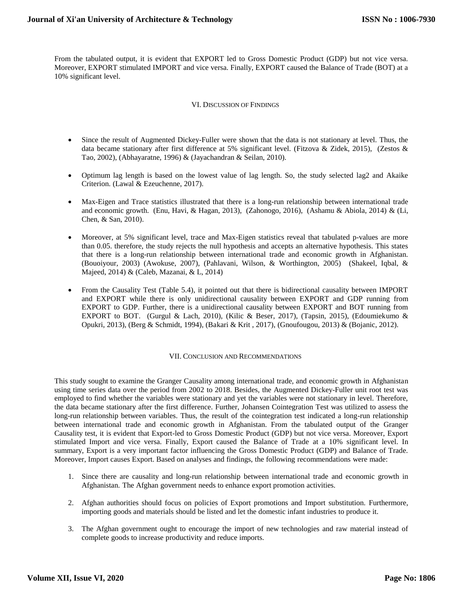From the tabulated output, it is evident that EXPORT led to Gross Domestic Product (GDP) but not vice versa. Moreover, EXPORT stimulated IMPORT and vice versa. Finally, EXPORT caused the Balance of Trade (BOT) at a 10% significant level.

#### VI. DISCUSSION OF FINDINGS

- Since the result of Augmented Dickey-Fuller were shown that the data is not stationary at level. Thus, the data became stationary after first difference at 5% significant level. (Fitzova & Zidek, 2015), (Zestos & Tao, 2002), (Abhayaratne, 1996) & (Jayachandran & Seilan, 2010).
- Optimum lag length is based on the lowest value of lag length. So, the study selected lag2 and Akaike Criterion. (Lawal & Ezeuchenne, 2017).
- Max-Eigen and Trace statistics illustrated that there is a long-run relationship between international trade and economic growth. (Enu, Havi, & Hagan, 2013), (Zahonogo, 2016), (Ashamu & Abiola, 2014) & (Li, Chen, & San, 2010).
- Moreover, at 5% significant level, trace and Max-Eigen statistics reveal that tabulated p-values are more than 0.05. therefore, the study rejects the null hypothesis and accepts an alternative hypothesis. This states that there is a long-run relationship between international trade and economic growth in Afghanistan. (Bouoiyour, 2003) (Awokuse, 2007), (Pahlavani, Wilson, & Worthington, 2005) (Shakeel, Iqbal, & Majeed, 2014) & (Caleb, Mazanai, & L, 2014)
- From the Causality Test (Table 5.4), it pointed out that there is bidirectional causality between IMPORT and EXPORT while there is only unidirectional causality between EXPORT and GDP running from EXPORT to GDP. Further, there is a unidirectional causality between EXPORT and BOT running from EXPORT to BOT. (Gurgul & Lach, 2010), (Kilic & Beser, 2017), (Tapsin, 2015), (Edoumiekumo & Opukri, 2013), (Berg & Schmidt, 1994), (Bakari & Krit , 2017), (Gnoufougou, 2013) & (Bojanic, 2012).

#### VII. CONCLUSION AND RECOMMENDATIONS

This study sought to examine the Granger Causality among international trade, and economic growth in Afghanistan using time series data over the period from 2002 to 2018. Besides, the Augmented Dickey-Fuller unit root test was employed to find whether the variables were stationary and yet the variables were not stationary in level. Therefore, the data became stationary after the first difference. Further, Johansen Cointegration Test was utilized to assess the long-run relationship between variables. Thus, the result of the cointegration test indicated a long-run relationship between international trade and economic growth in Afghanistan. From the tabulated output of the Granger Causality test, it is evident that Export-led to Gross Domestic Product (GDP) but not vice versa. Moreover, Export stimulated Import and vice versa. Finally, Export caused the Balance of Trade at a 10% significant level. In summary, Export is a very important factor influencing the Gross Domestic Product (GDP) and Balance of Trade. Moreover, Import causes Export. Based on analyses and findings, the following recommendations were made:

- 1. Since there are causality and long-run relationship between international trade and economic growth in Afghanistan. The Afghan government needs to enhance export promotion activities.
- 2. Afghan authorities should focus on policies of Export promotions and Import substitution. Furthermore, importing goods and materials should be listed and let the domestic infant industries to produce it.
- 3. The Afghan government ought to encourage the import of new technologies and raw material instead of complete goods to increase productivity and reduce imports.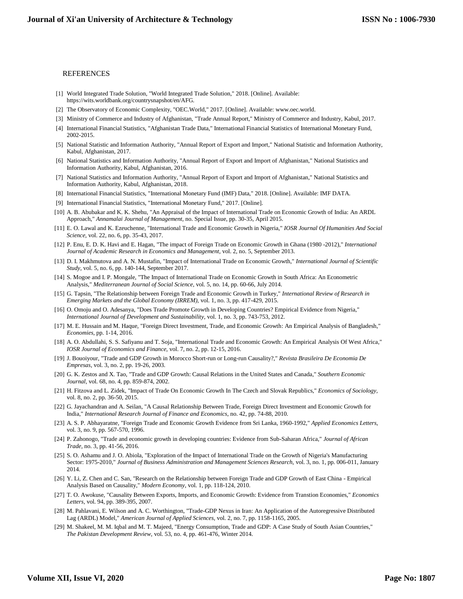#### REFERENCES

- [1] World Integrated Trade Solution, "World Integrated Trade Solution," 2018. [Online]. Available: https://wits.worldbank.org/countrysnapshot/en/AFG.
- [2] The Observatory of Economic Complexity, "OEC.World," 2017. [Online]. Available: www.oec.world.
- [3] Ministry of Commerce and Industry of Afghanistan, "Trade Annual Report," Ministry of Commerce and Industry, Kabul, 2017.
- [4] International Financial Statistics, "Afghanistan Trade Data," International Financial Statistics of International Monetary Fund, 2002-2015.
- [5] National Statistic and Information Authority, "Annual Report of Export and Import," National Statistic and Information Authority, Kabul, Afghanistan, 2017.
- [6] National Statistics and Information Authority, "Annual Report of Export and Import of Afghanistan," National Statistics and Information Authority, Kabul, Afghanistan, 2016.
- [7] National Statistics and Information Authority, "Annual Report of Export and Import of Afghanistan," National Statistics and Information Authority, Kabul, Afghanistan, 2018.
- [8] International Financial Statistics, "International Monetary Fund (IMF) Data," 2018. [Online]. Available: IMF DATA.
- [9] International Financial Statistics, "International Monetary Fund," 2017. [Online].
- [10] A. B. Abubakar and K. K. Shehu, "An Appraisal of the Impact of International Trade on Economic Growth of India: An ARDL Approach," *Annamalai Journal of Management,* no. Special Issue, pp. 30-35, April 2015.
- [11] E. O. Lawal and K. Ezeuchenne, "International Trade and Economic Growth in Nigeria," *IOSR Journal Of Humanities And Social Science,* vol. 22, no. 6, pp. 35-43, 2017.
- [12] P. Enu, E. D. K. Havi and E. Hagan, "The impact of Foreign Trade on Economic Growth in Ghana (1980 -2012)," *International Journal of Academic Research in Economics and Management,* vol. 2, no. 5, September 2013.
- [13] D. I. Makhmutova and A. N. Mustafin, "Impact of International Trade on Economic Growth," *International Journal of Scientific Study,* vol. 5, no. 6, pp. 140-144, September 2017.
- [14] S. Mogoe and I. P. Mongale, "The Impact of International Trade on Economic Growth in South Africa: An Econometric Analysis," *Mediterranean Journal of Social Science,* vol. 5, no. 14, pp. 60-66, July 2014.
- [15] G. Tapsin, "The Relationship between Foreign Trade and Economic Growth in Turkey," *International Review of Research in Emerging Markets and the Global Economy (IRREM),* vol. 1, no. 3, pp. 417-429, 2015.
- [16] O. Omoju and O. Adesanya, "Does Trade Promote Growth in Developing Countries? Empirical Evidence from Nigeria," *International Journal of Development and Sustainability,* vol. 1, no. 3, pp. 743-753, 2012.
- [17] M. E. Hussain and M. Haque, "Foreign Direct Investment, Trade, and Economic Growth: An Empirical Analysis of Bangladesh," *Economies,* pp. 1-14, 2016.
- [18] A. O. Abdullahi, S. S. Safiyanu and T. Soja, "International Trade and Economic Growth: An Empirical Analysis Of West Africa," *IOSR Journal of Economics and Finance,* vol. 7, no. 2, pp. 12-15, 2016.
- [19] J. Bouoiyour, "Trade and GDP Growth in Morocco Short-run or Long-run Causality?," *Revista Brasileira De Economia De Empresas,* vol. 3, no. 2, pp. 19-26, 2003.
- [20] G. K. Zestos and X. Tao, "Trade and GDP Growth: Causal Relations in the United States and Canada," *Southern Economic Journal,* vol. 68, no. 4, pp. 859-874, 2002.
- [21] H. Fitzova and L. Zidek, "Impact of Trade On Economic Growth In The Czech and Slovak Republics," *Economics of Sociology,*  vol. 8, no. 2, pp. 36-50, 2015.
- [22] G. Jayachandran and A. Seilan, "A Causal Relationship Between Trade, Foreign Direct Investment and Economic Growth for India," *International Research Journal of Finance and Economics,* no. 42, pp. 74-88, 2010.
- [23] A. S. P. Abhayaratne, "Foreign Trade and Economic Growth Evidence from Sri Lanka, 1960-1992," *Applied Economics Letters,*  vol. 3, no. 9, pp. 567-570, 1996.
- [24] P. Zahonogo, "Trade and economic growth in developing countries: Evidence from Sub-Saharan Africa," *Journal of African Trade,* no. 3, pp. 41-56, 2016.
- [25] S. O. Ashamu and J. O. Abiola, "Exploration of the Impact of International Trade on the Growth of Nigeria's Manufacturing Sector: 1975-2010," *Journal of Business Administration and Management Sciences Research,* vol. 3, no. 1, pp. 006-011, January 2014.
- [26] Y. Li, Z. Chen and C. San, "Research on the Relationship between Foreign Trade and GDP Growth of East China Empirical Analysis Based on Causality," *Modern Economy,* vol. 1, pp. 118-124, 2010.
- [27] T. O. Awokuse, "Causality Between Exports, Imports, and Economic Growth: Evidence from Transtion Economies," *Economics Letters,* vol. 94, pp. 389-395, 2007.
- [28] M. Pahlavani, E. Wilson and A. C. Worthington, "Trade-GDP Nexus in Iran: An Application of the Autoregressive Distributed Lag (ARDL) Model," *American Journal of Applied Sciences,* vol. 2, no. 7, pp. 1158-1165, 2005.
- [29] M. Shakeel, M. M. Iqbal and M. T. Majeed, "Energy Consumption, Trade and GDP: A Case Study of South Asian Countries," *The Pakistan Development Review,* vol. 53, no. 4, pp. 461-476, Winter 2014.